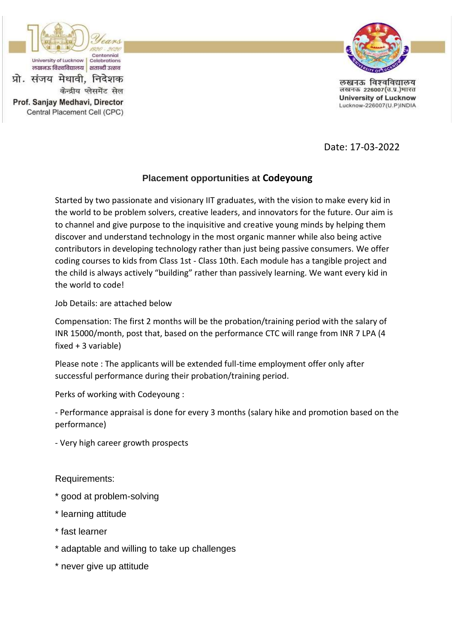

Prof. Sanjay Medhavi, Director

Central Placement Cell (CPC)

केन्द्रीय प्लेसमेंट सेल



लखनऊ विश्वविद्यालय लखनऊ 226007(उ.प्र.)भारत **University of Lucknow** Lucknow-226007(U.P)INDIA

Date: 17-03-2022

# **Placement opportunities at Codeyoung**

Started by two passionate and visionary IIT graduates, with the vision to make every kid in the world to be problem solvers, creative leaders, and innovators for the future. Our aim is to channel and give purpose to the inquisitive and creative young minds by helping them discover and understand technology in the most organic manner while also being active contributors in developing technology rather than just being passive consumers. We offer coding courses to kids from Class 1st - Class 10th. Each module has a tangible project and the child is always actively "building" rather than passively learning. We want every kid in the world to code!

Job Details: are attached below

Compensation: The first 2 months will be the probation/training period with the salary of INR 15000/month, post that, based on the performance CTC will range from INR 7 LPA (4 fixed + 3 variable)

Please note : The applicants will be extended full-time employment offer only after successful performance during their probation/training period.

Perks of working with Codeyoung :

- Performance appraisal is done for every 3 months (salary hike and promotion based on the performance)

- Very high career growth prospects

Requirements:

- \* good at problem-solving
- \* learning attitude
- \* fast learner
- \* adaptable and willing to take up challenges
- \* never give up attitude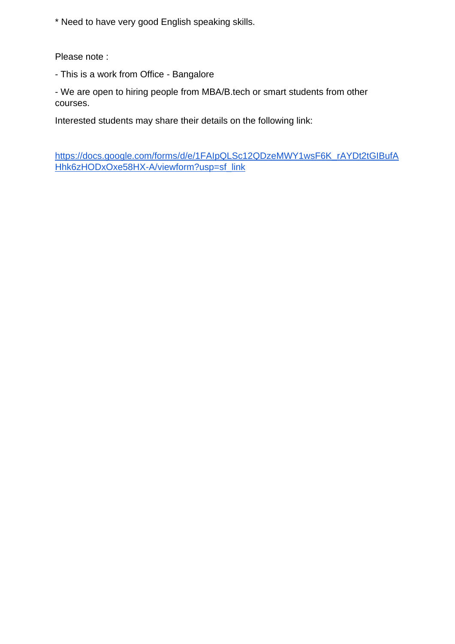\* Need to have very good English speaking skills.

Please note :

- This is a work from Office - Bangalore

- We are open to hiring people from MBA/B.tech or smart students from other courses.

Interested students may share their details on the following link:

[https://docs.google.com/forms/d/e/1FAIpQLSc12QDzeMWY1wsF6K\\_rAYDt2tGIBufA](https://smaowl-dot-yamm-track.appspot.com/Redirect?ukey=1gooLhg3vcHKQmKsYBw3P7A0nPZ8-4uG0tnbNHnK_Qx4-0&key=YAMMID-1638775328726&link=https://docs.google.com/forms/d/e/1FAIpQLSc12QDzeMWY1wsF6K_rAYDt2tGIBufAHhk6zHODxOxe58HX-A/viewform?usp=sf_link) [Hhk6zHODxOxe58HX-A/viewform?usp=sf\\_link](https://smaowl-dot-yamm-track.appspot.com/Redirect?ukey=1gooLhg3vcHKQmKsYBw3P7A0nPZ8-4uG0tnbNHnK_Qx4-0&key=YAMMID-1638775328726&link=https://docs.google.com/forms/d/e/1FAIpQLSc12QDzeMWY1wsF6K_rAYDt2tGIBufAHhk6zHODxOxe58HX-A/viewform?usp=sf_link)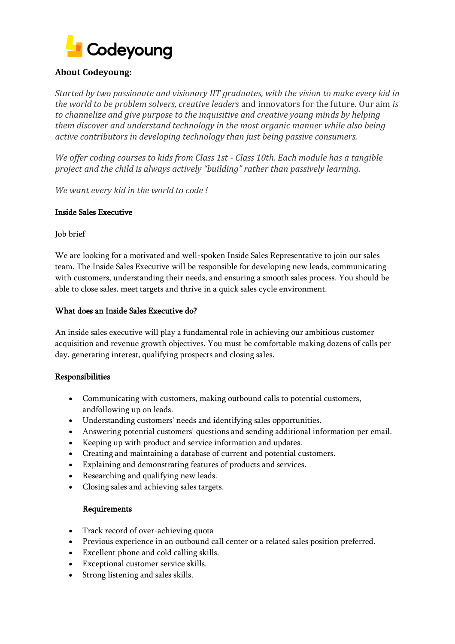

## **About Codeyoung:**

*Started by two passionate and visionary IIT graduates, with the vision to make every kid in the world to be problem solvers, creative leaders* and innovators for the future*.* Our aim *is to channelize and give purpose to the inquisitive and creative young minds by helping them discover and understand technology in the most organic manner while also being active contributors in developing technology than just being passive consumers.* 

*We offer coding courses to kids from Class 1st - Class 10th. Each module has a tangible project and the child is always actively "building" rather than passively learning.* 

*We want every kid in the world to code !* 

### Inside Sales Executive

Job brief

We are looking for a motivated and well-spoken Inside Sales Representative to join our sales team. The Inside Sales Executive will be responsible for developing new leads, communicating with customers, understanding their needs, and ensuring a smooth sales process. You should be able to close sales, meet targets and thrive in a quick sales cycle environment.

### What does an Inside Sales Executive do?

An inside sales executive will play a fundamental role in achieving our ambitious customer acquisition and revenue growth objectives. You must be comfortable making dozens of calls per day, generating interest, qualifying prospects and closing sales.

## Responsibilities

- Communicating with customers, making outbound calls to potential customers, andfollowing up on leads.
- Understanding customers' needs and identifying sales opportunities.
- Answering potential customers' questions and sending additional information per email.
- Keeping up with product and service information and updates.
- Creating and maintaining a database of current and potential customers.
- Explaining and demonstrating features of products and services.
- Researching and qualifying new leads.
- Closing sales and achieving sales targets.

### Requirements

- Track record of over-achieving quota
- Previous experience in an outbound call center or a related sales position preferred.
- Excellent phone and cold calling skills.
- Exceptional customer service skills.
- Strong listening and sales skills.